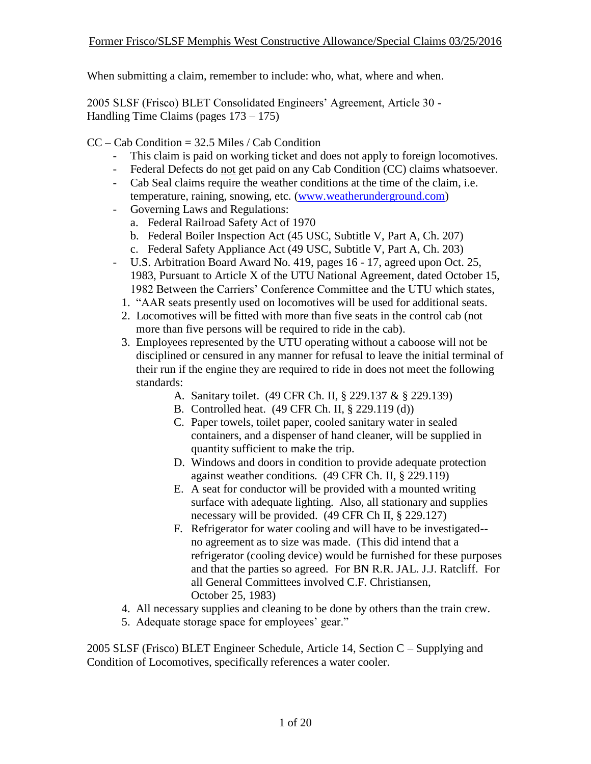2005 SLSF (Frisco) BLET Consolidated Engineers' Agreement, Article 30 - Handling Time Claims (pages 173 – 175)

- $CC Cab Condition = 32.5$  Miles / Cab Condition
	- This claim is paid on working ticket and does not apply to foreign locomotives.
	- Federal Defects do not get paid on any Cab Condition (CC) claims whatsoever.
	- Cab Seal claims require the weather conditions at the time of the claim, i.e. temperature, raining, snowing, etc. [\(www.weatherunderground.com\)](http://www.weatherunderground.com/)
	- Governing Laws and Regulations:
		- a. Federal Railroad Safety Act of 1970
		- b. Federal Boiler Inspection Act (45 USC, Subtitle V, Part A, Ch. 207)
		- c. Federal Safety Appliance Act (49 USC, Subtitle V, Part A, Ch. 203)
	- U.S. Arbitration Board Award No. 419, pages 16 17, agreed upon Oct. 25, 1983, Pursuant to Article X of the UTU National Agreement, dated October 15, 1982 Between the Carriers' Conference Committee and the UTU which states,
		- 1. "AAR seats presently used on locomotives will be used for additional seats.
		- 2. Locomotives will be fitted with more than five seats in the control cab (not more than five persons will be required to ride in the cab).
		- 3. Employees represented by the UTU operating without a caboose will not be disciplined or censured in any manner for refusal to leave the initial terminal of their run if the engine they are required to ride in does not meet the following standards:
			- A. Sanitary toilet. (49 CFR Ch. II, § 229.137 & § 229.139)
			- B. Controlled heat. (49 CFR Ch. II, § 229.119 (d))
			- C. Paper towels, toilet paper, cooled sanitary water in sealed containers, and a dispenser of hand cleaner, will be supplied in quantity sufficient to make the trip.
			- D. Windows and doors in condition to provide adequate protection against weather conditions. (49 CFR Ch. II, § 229.119)
			- E. A seat for conductor will be provided with a mounted writing surface with adequate lighting. Also, all stationary and supplies necessary will be provided. (49 CFR Ch II, § 229.127)
			- F. Refrigerator for water cooling and will have to be investigated- no agreement as to size was made. (This did intend that a refrigerator (cooling device) would be furnished for these purposes and that the parties so agreed. For BN R.R. JAL. J.J. Ratcliff. For all General Committees involved C.F. Christiansen, October 25, 1983)
		- 4. All necessary supplies and cleaning to be done by others than the train crew.
		- 5. Adequate storage space for employees' gear."

2005 SLSF (Frisco) BLET Engineer Schedule, Article 14, Section C – Supplying and Condition of Locomotives, specifically references a water cooler.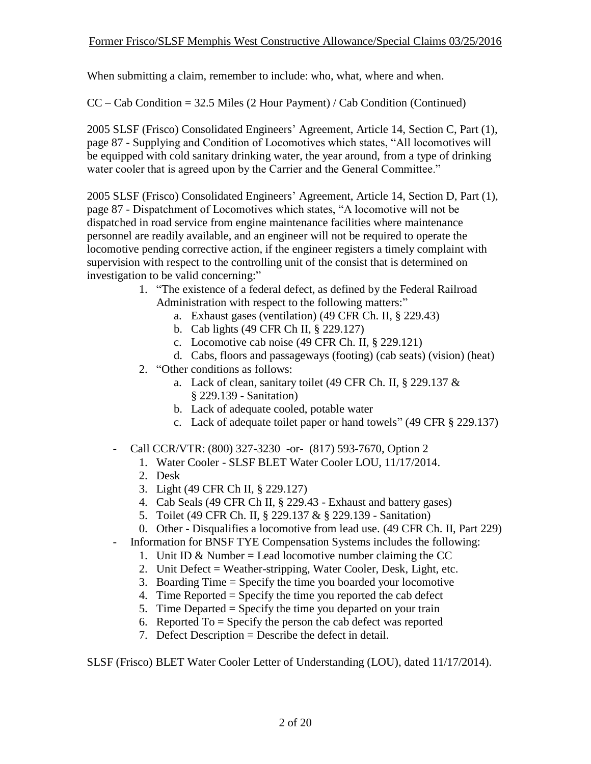$CC - Cab Condition = 32.5$  Miles (2 Hour Payment) / Cab Condition (Continued)

2005 SLSF (Frisco) Consolidated Engineers' Agreement, Article 14, Section C, Part (1), page 87 - Supplying and Condition of Locomotives which states, "All locomotives will be equipped with cold sanitary drinking water, the year around, from a type of drinking water cooler that is agreed upon by the Carrier and the General Committee."

2005 SLSF (Frisco) Consolidated Engineers' Agreement, Article 14, Section D, Part (1), page 87 - Dispatchment of Locomotives which states, "A locomotive will not be dispatched in road service from engine maintenance facilities where maintenance personnel are readily available, and an engineer will not be required to operate the locomotive pending corrective action, if the engineer registers a timely complaint with supervision with respect to the controlling unit of the consist that is determined on investigation to be valid concerning:"

- 1. "The existence of a federal defect, as defined by the Federal Railroad Administration with respect to the following matters:"
	- a. Exhaust gases (ventilation) (49 CFR Ch. II, § 229.43)
	- b. Cab lights (49 CFR Ch II, § 229.127)
	- c. Locomotive cab noise (49 CFR Ch. II, § 229.121)
	- d. Cabs, floors and passageways (footing) (cab seats) (vision) (heat)
- 2. "Other conditions as follows:
	- a. Lack of clean, sanitary toilet (49 CFR Ch. II, § 229.137 & § 229.139 - Sanitation)
	- b. Lack of adequate cooled, potable water
	- c. Lack of adequate toilet paper or hand towels" (49 CFR § 229.137)
- Call CCR/VTR: (800) 327-3230 -or- (817) 593-7670, Option 2
	- 1. Water Cooler SLSF BLET Water Cooler LOU, 11/17/2014.
	- 2. Desk
	- 3. Light (49 CFR Ch II, § 229.127)
	- 4. Cab Seals (49 CFR Ch II, § 229.43 Exhaust and battery gases)
	- 5. Toilet (49 CFR Ch. II, § 229.137 & § 229.139 Sanitation)
	- 0. Other Disqualifies a locomotive from lead use. (49 CFR Ch. II, Part 229)
- Information for BNSF TYE Compensation Systems includes the following:
	- 1. Unit ID & Number = Lead locomotive number claiming the CC
	- 2. Unit Defect = Weather-stripping, Water Cooler, Desk, Light, etc.
	- 3. Boarding Time = Specify the time you boarded your locomotive
	- 4. Time Reported = Specify the time you reported the cab defect
	- 5. Time Departed = Specify the time you departed on your train
	- 6. Reported To = Specify the person the cab defect was reported
	- 7. Defect Description = Describe the defect in detail.

SLSF (Frisco) BLET Water Cooler Letter of Understanding (LOU), dated 11/17/2014).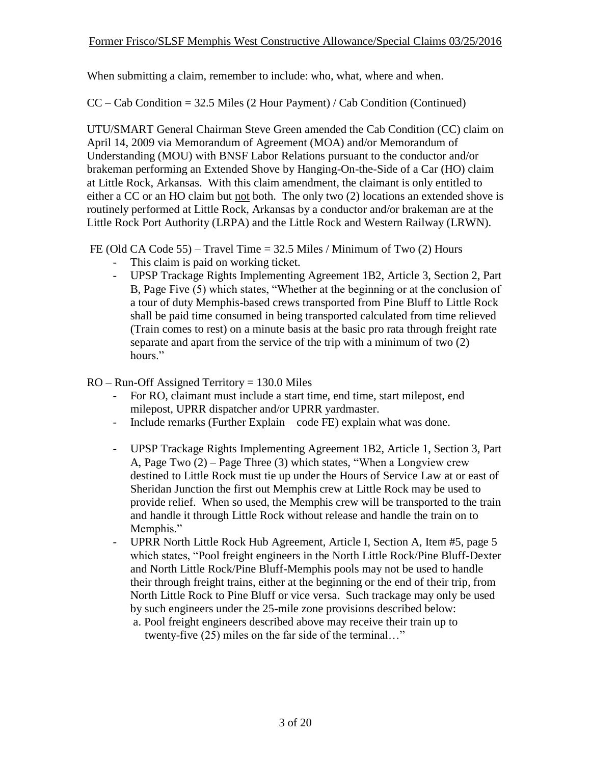$CC - Cab Condition = 32.5$  Miles (2 Hour Payment) / Cab Condition (Continued)

UTU/SMART General Chairman Steve Green amended the Cab Condition (CC) claim on April 14, 2009 via Memorandum of Agreement (MOA) and/or Memorandum of Understanding (MOU) with BNSF Labor Relations pursuant to the conductor and/or brakeman performing an Extended Shove by Hanging-On-the-Side of a Car (HO) claim at Little Rock, Arkansas. With this claim amendment, the claimant is only entitled to either a CC or an HO claim but not both. The only two (2) locations an extended shove is routinely performed at Little Rock, Arkansas by a conductor and/or brakeman are at the Little Rock Port Authority (LRPA) and the Little Rock and Western Railway (LRWN).

FE (Old CA Code 55) – Travel Time = 32.5 Miles / Minimum of Two (2) Hours

- This claim is paid on working ticket.
- UPSP Trackage Rights Implementing Agreement 1B2, Article 3, Section 2, Part B, Page Five (5) which states, "Whether at the beginning or at the conclusion of a tour of duty Memphis-based crews transported from Pine Bluff to Little Rock shall be paid time consumed in being transported calculated from time relieved (Train comes to rest) on a minute basis at the basic pro rata through freight rate separate and apart from the service of the trip with a minimum of two (2) hours."

 $RO - Run-Off$  Assigned Territory = 130.0 Miles

- For RO, claimant must include a start time, end time, start milepost, end milepost, UPRR dispatcher and/or UPRR yardmaster.
- Include remarks (Further Explain code FE) explain what was done.
- UPSP Trackage Rights Implementing Agreement 1B2, Article 1, Section 3, Part A, Page Two (2) – Page Three (3) which states, "When a Longview crew destined to Little Rock must tie up under the Hours of Service Law at or east of Sheridan Junction the first out Memphis crew at Little Rock may be used to provide relief. When so used, the Memphis crew will be transported to the train and handle it through Little Rock without release and handle the train on to Memphis."
- UPRR North Little Rock Hub Agreement, Article I, Section A, Item #5, page 5 which states, "Pool freight engineers in the North Little Rock/Pine Bluff-Dexter and North Little Rock/Pine Bluff-Memphis pools may not be used to handle their through freight trains, either at the beginning or the end of their trip, from North Little Rock to Pine Bluff or vice versa. Such trackage may only be used by such engineers under the 25-mile zone provisions described below:
	- a. Pool freight engineers described above may receive their train up to twenty-five (25) miles on the far side of the terminal…"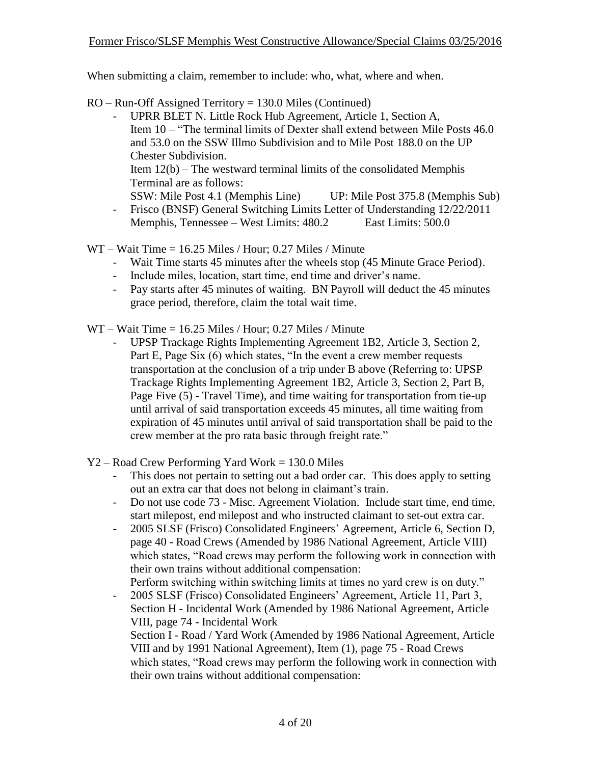RO – Run-Off Assigned Territory = 130.0 Miles (Continued)

- UPRR BLET N. Little Rock Hub Agreement, Article 1, Section A, Item 10 – "The terminal limits of Dexter shall extend between Mile Posts 46.0 and 53.0 on the SSW Illmo Subdivision and to Mile Post 188.0 on the UP Chester Subdivision. Item  $12(b)$  – The westward terminal limits of the consolidated Memphis Terminal are as follows: SSW: Mile Post 4.1 (Memphis Line) UP: Mile Post 375.8 (Memphis Sub) - Frisco (BNSF) General Switching Limits Letter of Understanding 12/22/2011
- Memphis, Tennessee West Limits: 480.2 East Limits: 500.0

WT – Wait Time = 16.25 Miles / Hour; 0.27 Miles / Minute

- Wait Time starts 45 minutes after the wheels stop (45 Minute Grace Period).
- Include miles, location, start time, end time and driver's name.
- Pay starts after 45 minutes of waiting. BN Payroll will deduct the 45 minutes grace period, therefore, claim the total wait time.
- WT Wait Time = 16.25 Miles / Hour; 0.27 Miles / Minute
	- UPSP Trackage Rights Implementing Agreement 1B2, Article 3, Section 2, Part E, Page Six (6) which states, "In the event a crew member requests transportation at the conclusion of a trip under B above (Referring to: UPSP Trackage Rights Implementing Agreement 1B2, Article 3, Section 2, Part B, Page Five (5) - Travel Time), and time waiting for transportation from tie-up until arrival of said transportation exceeds 45 minutes, all time waiting from expiration of 45 minutes until arrival of said transportation shall be paid to the crew member at the pro rata basic through freight rate."
- Y2 Road Crew Performing Yard Work = 130.0 Miles
	- This does not pertain to setting out a bad order car. This does apply to setting out an extra car that does not belong in claimant's train.
	- Do not use code 73 Misc. Agreement Violation. Include start time, end time, start milepost, end milepost and who instructed claimant to set-out extra car.
	- 2005 SLSF (Frisco) Consolidated Engineers' Agreement, Article 6, Section D, page 40 - Road Crews (Amended by 1986 National Agreement, Article VIII) which states, "Road crews may perform the following work in connection with their own trains without additional compensation:

Perform switching within switching limits at times no yard crew is on duty."

- 2005 SLSF (Frisco) Consolidated Engineers' Agreement, Article 11, Part 3, Section H - Incidental Work (Amended by 1986 National Agreement, Article VIII, page 74 - Incidental Work Section I - Road / Yard Work (Amended by 1986 National Agreement, Article VIII and by 1991 National Agreement), Item (1), page 75 - Road Crews which states, "Road crews may perform the following work in connection with their own trains without additional compensation: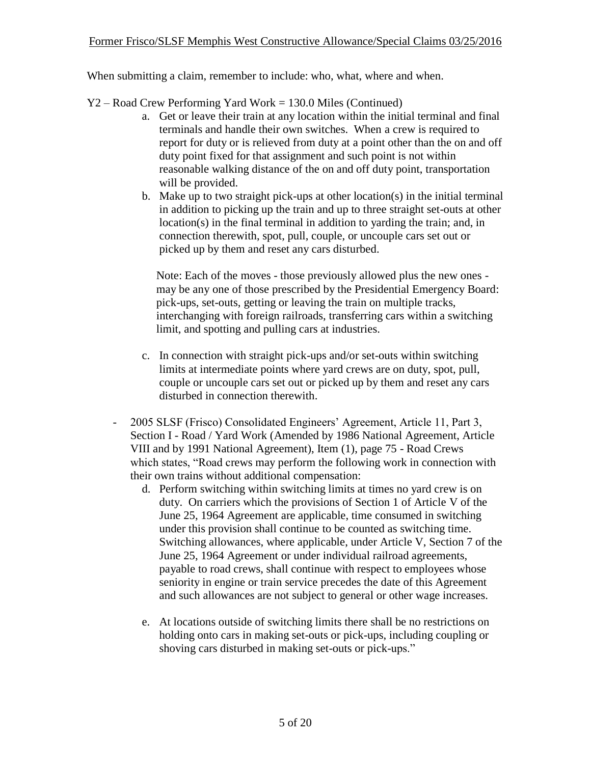- Y2 Road Crew Performing Yard Work = 130.0 Miles (Continued)
	- a. Get or leave their train at any location within the initial terminal and final terminals and handle their own switches. When a crew is required to report for duty or is relieved from duty at a point other than the on and off duty point fixed for that assignment and such point is not within reasonable walking distance of the on and off duty point, transportation will be provided.
	- b. Make up to two straight pick-ups at other location(s) in the initial terminal in addition to picking up the train and up to three straight set-outs at other location(s) in the final terminal in addition to yarding the train; and, in connection therewith, spot, pull, couple, or uncouple cars set out or picked up by them and reset any cars disturbed.

Note: Each of the moves - those previously allowed plus the new ones may be any one of those prescribed by the Presidential Emergency Board: pick-ups, set-outs, getting or leaving the train on multiple tracks, interchanging with foreign railroads, transferring cars within a switching limit, and spotting and pulling cars at industries.

- c. In connection with straight pick-ups and/or set-outs within switching limits at intermediate points where yard crews are on duty, spot, pull, couple or uncouple cars set out or picked up by them and reset any cars disturbed in connection therewith.
- 2005 SLSF (Frisco) Consolidated Engineers' Agreement, Article 11, Part 3, Section I - Road / Yard Work (Amended by 1986 National Agreement, Article VIII and by 1991 National Agreement), Item (1), page 75 - Road Crews which states, "Road crews may perform the following work in connection with their own trains without additional compensation:
	- d. Perform switching within switching limits at times no yard crew is on duty. On carriers which the provisions of Section 1 of Article V of the June 25, 1964 Agreement are applicable, time consumed in switching under this provision shall continue to be counted as switching time. Switching allowances, where applicable, under Article V, Section 7 of the June 25, 1964 Agreement or under individual railroad agreements, payable to road crews, shall continue with respect to employees whose seniority in engine or train service precedes the date of this Agreement and such allowances are not subject to general or other wage increases.
	- e. At locations outside of switching limits there shall be no restrictions on holding onto cars in making set-outs or pick-ups, including coupling or shoving cars disturbed in making set-outs or pick-ups."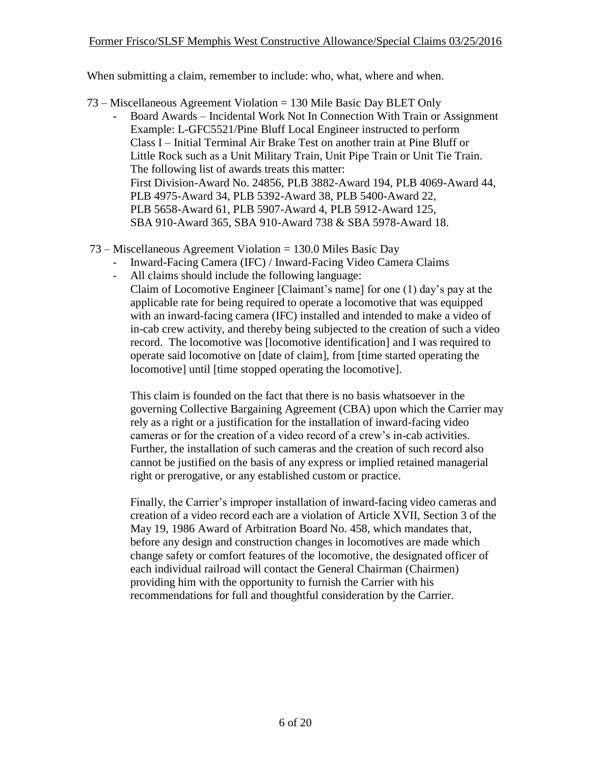- 73 Miscellaneous Agreement Violation = 130 Mile Basic Day BLET Only
	- Board Awards Incidental Work Not In Connection With Train or Assignment Example: L-GFC5521/Pine Bluff Local Engineer instructed to perform Class I – Initial Terminal Air Brake Test on another train at Pine Bluff or Little Rock such as a Unit Military Train, Unit Pipe Train or Unit Tie Train. The following list of awards treats this matter: First Division-Award No. 24856, PLB 3882-Award 194, PLB 4069-Award 44, PLB 4975-Award 34, PLB 5392-Award 38, PLB 5400-Award 22, PLB 5658-Award 61, PLB 5907-Award 4, PLB 5912-Award 125, SBA 910-Award 365, SBA 910-Award 738 & SBA 5978-Award 18.
- 73 Miscellaneous Agreement Violation = 130.0 Miles Basic Day
	- Inward-Facing Camera (IFC) / Inward-Facing Video Camera Claims

locomotive] until [time stopped operating the locomotive].

All claims should include the following language: Claim of Locomotive Engineer [Claimant's name] for one (1) day's pay at the applicable rate for being required to operate a locomotive that was equipped with an inward-facing camera (IFC) installed and intended to make a video of in-cab crew activity, and thereby being subjected to the creation of such a video record. The locomotive was [locomotive identification] and I was required to operate said locomotive on [date of claim], from [time started operating the

This claim is founded on the fact that there is no basis whatsoever in the governing Collective Bargaining Agreement (CBA) upon which the Carrier may rely as a right or a justification for the installation of inward-facing video cameras or for the creation of a video record of a crew's in-cab activities. Further, the installation of such cameras and the creation of such record also cannot be justified on the basis of any express or implied retained managerial right or prerogative, or any established custom or practice.

Finally, the Carrier's improper installation of inward-facing video cameras and creation of a video record each are a violation of Article XVII, Section 3 of the May 19, 1986 Award of Arbitration Board No. 458, which mandates that, before any design and construction changes in locomotives are made which change safety or comfort features of the locomotive, the designated officer of each individual railroad will contact the General Chairman (Chairmen) providing him with the opportunity to furnish the Carrier with his recommendations for full and thoughtful consideration by the Carrier.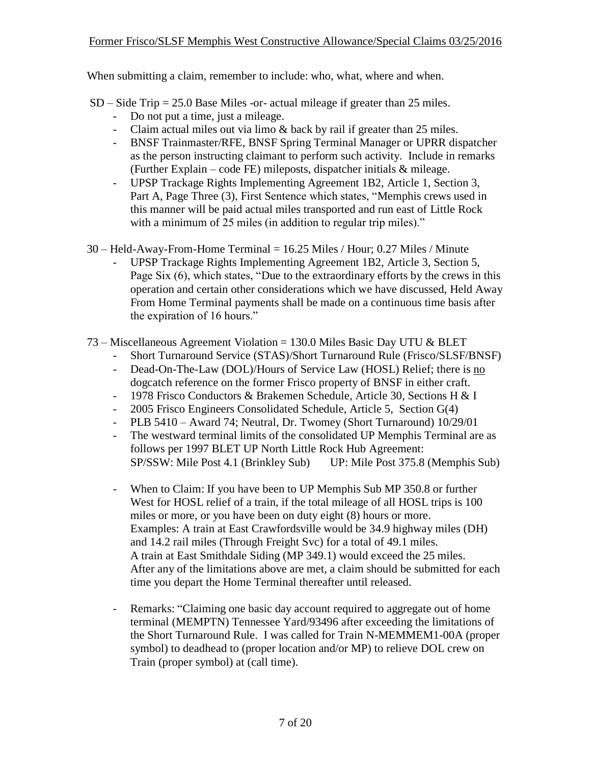- SD Side Trip = 25.0 Base Miles -or- actual mileage if greater than 25 miles.
	- Do not put a time, just a mileage.
	- Claim actual miles out via limo & back by rail if greater than 25 miles.
	- BNSF Trainmaster/RFE, BNSF Spring Terminal Manager or UPRR dispatcher as the person instructing claimant to perform such activity. Include in remarks (Further Explain – code FE) mileposts, dispatcher initials  $\&$  mileage.
	- UPSP Trackage Rights Implementing Agreement 1B2, Article 1, Section 3, Part A, Page Three (3), First Sentence which states, "Memphis crews used in this manner will be paid actual miles transported and run east of Little Rock with a minimum of 25 miles (in addition to regular trip miles)."
- $30$  Held-Away-From-Home Terminal = 16.25 Miles / Hour; 0.27 Miles / Minute
	- UPSP Trackage Rights Implementing Agreement 1B2, Article 3, Section 5, Page Six (6), which states, "Due to the extraordinary efforts by the crews in this operation and certain other considerations which we have discussed, Held Away From Home Terminal payments shall be made on a continuous time basis after the expiration of 16 hours."
- 73 Miscellaneous Agreement Violation = 130.0 Miles Basic Day UTU & BLET
	- Short Turnaround Service (STAS)/Short Turnaround Rule (Frisco/SLSF/BNSF)
	- Dead-On-The-Law (DOL)/Hours of Service Law (HOSL) Relief; there is no dogcatch reference on the former Frisco property of BNSF in either craft.
	- 1978 Frisco Conductors & Brakemen Schedule, Article 30, Sections H & I
	- 2005 Frisco Engineers Consolidated Schedule, Article 5, Section G(4)
	- PLB 5410 Award 74; Neutral, Dr. Twomey (Short Turnaround) 10/29/01
	- The westward terminal limits of the consolidated UP Memphis Terminal are as follows per 1997 BLET UP North Little Rock Hub Agreement: SP/SSW: Mile Post 4.1 (Brinkley Sub) UP: Mile Post 375.8 (Memphis Sub)
	- When to Claim: If you have been to UP Memphis Sub MP 350.8 or further West for HOSL relief of a train, if the total mileage of all HOSL trips is 100 miles or more, or you have been on duty eight (8) hours or more. Examples: A train at East Crawfordsville would be 34.9 highway miles (DH) and 14.2 rail miles (Through Freight Svc) for a total of 49.1 miles. A train at East Smithdale Siding (MP 349.1) would exceed the 25 miles. After any of the limitations above are met, a claim should be submitted for each time you depart the Home Terminal thereafter until released.
	- Remarks: "Claiming one basic day account required to aggregate out of home terminal (MEMPTN) Tennessee Yard/93496 after exceeding the limitations of the Short Turnaround Rule. I was called for Train N-MEMMEM1-00A (proper symbol) to deadhead to (proper location and/or MP) to relieve DOL crew on Train (proper symbol) at (call time).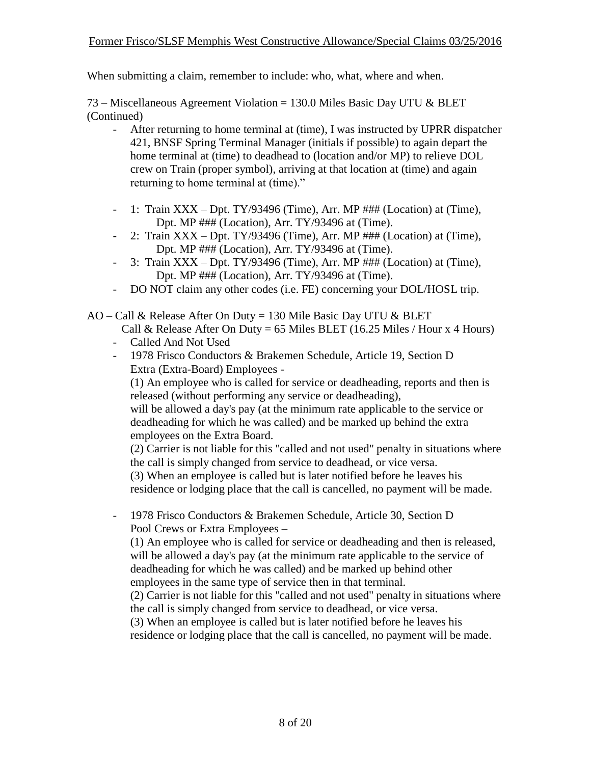#### Former Frisco/SLSF Memphis West Constructive Allowance/Special Claims 03/25/2016

When submitting a claim, remember to include: who, what, where and when.

73 – Miscellaneous Agreement Violation = 130.0 Miles Basic Day UTU & BLET (Continued)

- After returning to home terminal at (time), I was instructed by UPRR dispatcher 421, BNSF Spring Terminal Manager (initials if possible) to again depart the home terminal at (time) to deadhead to (location and/or MP) to relieve DOL crew on Train (proper symbol), arriving at that location at (time) and again returning to home terminal at (time)."
- 1: Train  $XXX Dpt. TY/93496$  (Time), Arr. MP  $\# \# \# (Location)$  at (Time), Dpt. MP ### (Location), Arr. TY/93496 at (Time).
- 2: Train  $XXX Dpt. TY/93496$  (Time), Arr. MP  $\#H\#$  (Location) at (Time), Dpt. MP ### (Location), Arr. TY/93496 at (Time).
- 3: Train  $XXX Dpt. TY/93496$  (Time), Arr. MP  $\# \# \# (Location)$  at (Time), Dpt. MP ### (Location), Arr. TY/93496 at (Time).
- DO NOT claim any other codes (i.e. FE) concerning your DOL/HOSL trip.

 $AO - Call \&$  Release After On Duty = 130 Mile Basic Day UTU  $\&$  BLET

Call & Release After On Duty = 65 Miles BLET (16.25 Miles / Hour x 4 Hours)

- Called And Not Used
- 1978 Frisco Conductors & Brakemen Schedule, Article 19, Section D Extra (Extra-Board) Employees -

(1) An employee who is called for service or deadheading, reports and then is released (without performing any service or deadheading),

will be allowed a day's pay (at the minimum rate applicable to the service or deadheading for which he was called) and be marked up behind the extra employees on the Extra Board.

(2) Carrier is not liable for this "called and not used" penalty in situations where the call is simply changed from service to deadhead, or vice versa.

(3) When an employee is called but is later notified before he leaves his residence or lodging place that the call is cancelled, no payment will be made.

- 1978 Frisco Conductors & Brakemen Schedule, Article 30, Section D Pool Crews or Extra Employees –

(1) An employee who is called for service or deadheading and then is released, will be allowed a day's pay (at the minimum rate applicable to the service of deadheading for which he was called) and be marked up behind other employees in the same type of service then in that terminal.

(2) Carrier is not liable for this "called and not used" penalty in situations where the call is simply changed from service to deadhead, or vice versa.

(3) When an employee is called but is later notified before he leaves his residence or lodging place that the call is cancelled, no payment will be made.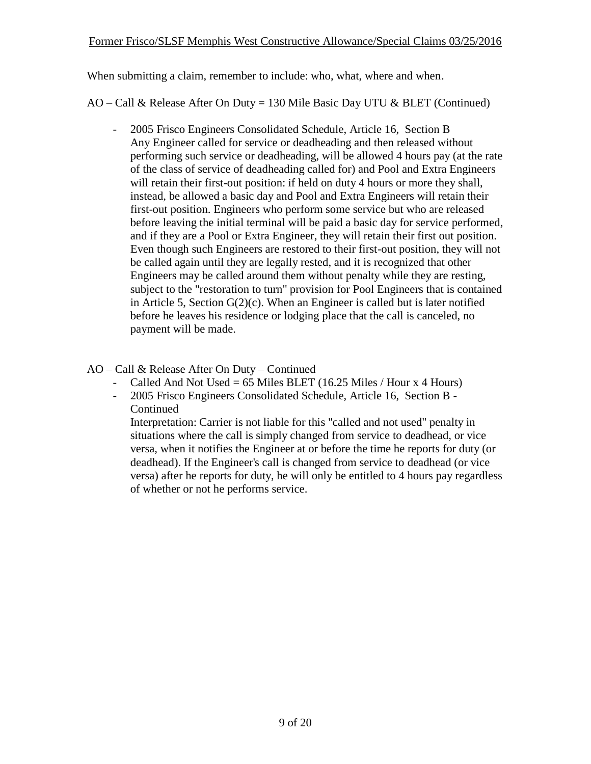AO – Call & Release After On Duty = 130 Mile Basic Day UTU & BLET (Continued)

- 2005 Frisco Engineers Consolidated Schedule, Article 16, Section B Any Engineer called for service or deadheading and then released without performing such service or deadheading, will be allowed 4 hours pay (at the rate of the class of service of deadheading called for) and Pool and Extra Engineers will retain their first-out position: if held on duty 4 hours or more they shall, instead, be allowed a basic day and Pool and Extra Engineers will retain their first-out position. Engineers who perform some service but who are released before leaving the initial terminal will be paid a basic day for service performed, and if they are a Pool or Extra Engineer, they will retain their first out position. Even though such Engineers are restored to their first-out position, they will not be called again until they are legally rested, and it is recognized that other Engineers may be called around them without penalty while they are resting, subject to the "restoration to turn" provision for Pool Engineers that is contained in Article 5, Section  $G(2)(c)$ . When an Engineer is called but is later notified before he leaves his residence or lodging place that the call is canceled, no payment will be made.
- AO Call & Release After On Duty Continued
	- Called And Not Used =  $65$  Miles BLET (16.25 Miles / Hour x 4 Hours)
	- 2005 Frisco Engineers Consolidated Schedule, Article 16, Section B Continued

Interpretation: Carrier is not liable for this "called and not used" penalty in situations where the call is simply changed from service to deadhead, or vice versa, when it notifies the Engineer at or before the time he reports for duty (or deadhead). If the Engineer's call is changed from service to deadhead (or vice versa) after he reports for duty, he will only be entitled to 4 hours pay regardless of whether or not he performs service.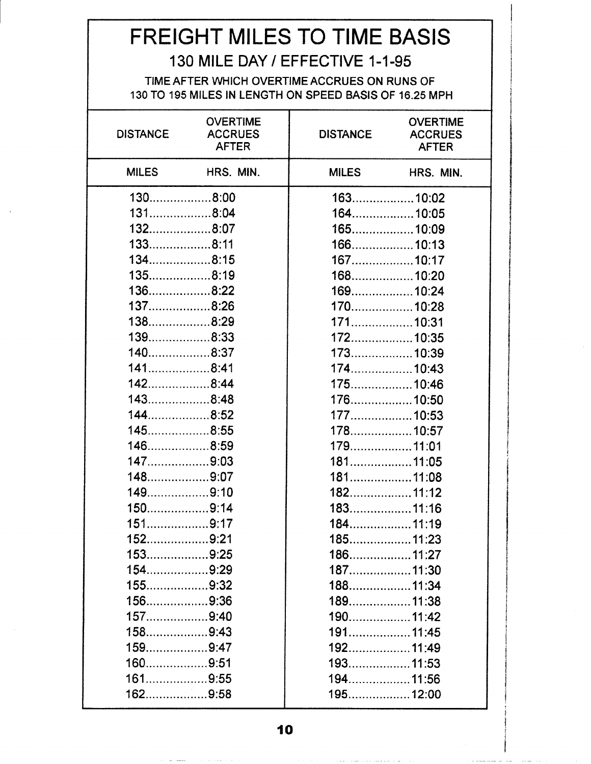# FREIGHT MILES TO TIME BASIS

## 130 MILE DAY / EFFECTIVE 1-1-95

#### TIME AFTER WHICH OVERTIME ACCRUES ON RUNS OF 130 TO 195 MILES IN LENGTH ON SPEED BASIS OF 16.25 MPH

| <b>DISTANCE</b> | <b>OVERTIME</b><br><b>ACCRUES</b><br><b>AFTER</b> | <b>DISTANCE</b> | <b>OVERTIME</b><br><b>ACCRUES</b><br><b>AFTER</b> |
|-----------------|---------------------------------------------------|-----------------|---------------------------------------------------|
| <b>MILES</b>    | HRS. MIN.                                         | <b>MILES</b>    | HRS. MIN.                                         |
| $130$ 8:00      |                                                   | 16310:02        |                                                   |
| 1318:04         |                                                   | 16410:05        |                                                   |
| $132$ 8:07      |                                                   | 165 10:09       |                                                   |
| $133$ 8:11      |                                                   | 166 10:13       |                                                   |
| $134$ 8:15      |                                                   | 16710:17        |                                                   |
| $135$ 8:19      |                                                   | 16810:20        |                                                   |
| 1368:22         |                                                   | 16910:24        |                                                   |
| $137$ 8:26      |                                                   | 17010:28        |                                                   |
| 1388:29         |                                                   | 171 10:31       |                                                   |
| $139$ $8:33$    |                                                   | 17210:35        |                                                   |
| $140$ 8:37      |                                                   | 17310:39        |                                                   |
| 1418:41         |                                                   | 17410:43        |                                                   |
| $142$ 8:44      |                                                   |                 |                                                   |
| $143$ 8:48      |                                                   |                 |                                                   |
| $144$ 8:52      |                                                   | 17710:53        |                                                   |
| $145$ 8:55      |                                                   | 178. 10:57      |                                                   |
| 1468:59         |                                                   | 179. 11:01      |                                                   |
| 1479:03         |                                                   | 18111:05        |                                                   |
| 1489:07         |                                                   | 18111:08        |                                                   |
| 1499:10         |                                                   |                 |                                                   |
| $150$ 9:14      |                                                   | 18311:16        |                                                   |
| 1519:17         |                                                   | 18411:19        |                                                   |
| 1529:21         |                                                   | 18511:23        |                                                   |
| $153$ 9:25      |                                                   |                 |                                                   |
| $154$ 9:29      |                                                   |                 |                                                   |
| $155$ 9:32      |                                                   |                 |                                                   |
| $156$ 9:36      |                                                   | 18911:38        |                                                   |
| $157$ 9:40      |                                                   | 190. 11:42      |                                                   |
| $158$ 9:43      |                                                   | 19111:45        |                                                   |
| $159$ 9:47      |                                                   |                 |                                                   |
| 1609:51         |                                                   | 19311:53        |                                                   |
| $161$ 9:55      |                                                   | 194. 11:56      |                                                   |
| 1629:58         |                                                   | 19512:00        |                                                   |

 $\mathcal{H}^{\prime}$  and  $\mathcal{H}^{\prime}$  are the set of the set of the set of the set of  $\mathcal{H}^{\prime}$ 

بالمتداد والترابيب المسكنين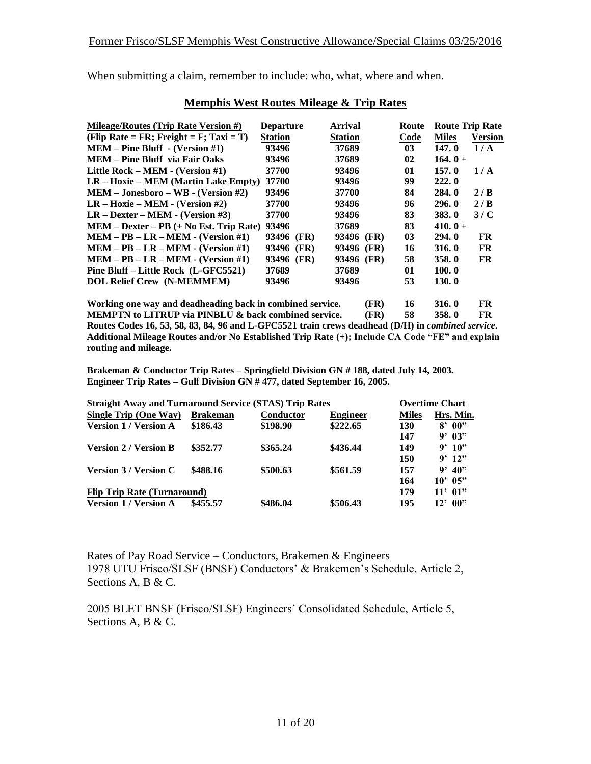| Mileage/Routes (Trip Rate Version #)      | <b>Departure</b> | Arrival        | Route          |              | <b>Route Trip Rate</b> |
|-------------------------------------------|------------------|----------------|----------------|--------------|------------------------|
| (Flip Rate = FR; Freight = F; Taxi = T)   | <b>Station</b>   | <b>Station</b> | Code           | <b>Miles</b> | <b>Version</b>         |
| $MEM - Pine Bluff - (Version #1)$         | 93496            | 37689          | 0 <sub>3</sub> | 147.0        | 1/A                    |
| MEM – Pine Bluff via Fair Oaks            | 93496            | 37689          | $\mathbf{02}$  | $164.0+$     |                        |
| Little Rock – MEM - (Version $\#1$ )      | 37700            | 93496          | 01             | 157.0        | 1/A                    |
| $LR - Hoxie - MEM (Martin Lake Empty)$    | 37700            | 93496          | 99             | 222.0        |                        |
| $MEM-Jonesboro-WB - (Version #2)$         | 93496            | 37700          | 84             | <b>284.0</b> | 2/B                    |
| $LR - Hoxie - MEM - (Version #2)$         | 37700            | 93496          | 96             | 296.0        | 2/B                    |
| $LR - Dexter - MEM - (Version \#3)$       | 37700            | 93496          | 83             | <b>383.0</b> | 3/C                    |
| $MEM - Dexter - PB$ (+ No Est. Trip Rate) | 93496            | 37689          | 83             | 410.0 +      |                        |
| $MEM - PB - LR - MEM - (Version #1)$      | 93496 (FR)       | 93496<br>(FR)  | 03             | <b>294.0</b> | FR                     |
| $MEM - PB - LR - MEM - (Version #1)$      | 93496<br>(FR)    | 93496<br>(FR)  | 16             | 316.0        | <b>FR</b>              |
| $MEM - PB - LR - MEM - (Version #1)$      | 93496 (FR)       | 93496<br>(FR)  | 58             | 358.0        | FR                     |
| Pine Bluff – Little Rock (L-GFC5521)      | 37689            | 37689          | 01             | 100.0        |                        |
| <b>DOL Relief Crew (N-MEMMEM)</b>         | 93496            | 93496          | 53             | 130.0        |                        |
|                                           |                  |                |                |              |                        |

#### **Memphis West Routes Mileage & Trip Rates**

**Working one way and deadheading back in combined service. (FR) 16 316. 0 FR MEMPTN to LITRUP via PINBLU & back combined service. (FR) 58 358. 0 FR Routes Codes 16, 53, 58, 83, 84, 96 and L-GFC5521 train crews deadhead (D/H) in** *combined service***. Additional Mileage Routes and/or No Established Trip Rate (+); Include CA Code "FE" and explain routing and mileage.**

**Brakeman & Conductor Trip Rates – Springfield Division GN # 188, dated July 14, 2003. Engineer Trip Rates – Gulf Division GN # 477, dated September 16, 2005.**

| <b>Straight Away and Turnaround Service (STAS) Trip Rates</b> |                 |           |                 |              | <b>Overtime Chart</b> |
|---------------------------------------------------------------|-----------------|-----------|-----------------|--------------|-----------------------|
| Single Trip (One Way)                                         | <b>Brakeman</b> | Conductor | <b>Engineer</b> | <b>Miles</b> | Hrs. Min.             |
| <b>Version 1 / Version A</b>                                  | \$186.43        | \$198.90  | \$222.65        | 130          | 00"<br>8'             |
|                                                               |                 |           |                 | 147          | $9'$ 03"              |
| <b>Version 2 / Version B</b>                                  | \$352.77        | \$365.24  | \$436.44        | 149          | 9'10"                 |
|                                                               |                 |           |                 | 150          | $9'$ 12"              |
| <b>Version 3 / Version C</b>                                  | \$488.16        | \$500.63  | \$561.59        | 157          | 40"<br>g,             |
|                                                               |                 |           |                 | 164          | 10' 05"               |
| <b>Flip Trip Rate (Turnaround)</b>                            |                 |           |                 | 179          | $11'$ 01"             |
| <b>Version 1 / Version A</b>                                  | \$455.57        | \$486.04  | \$506.43        | 195          | 00"<br>$12^{\circ}$   |

Rates of Pay Road Service – Conductors, Brakemen & Engineers 1978 UTU Frisco/SLSF (BNSF) Conductors' & Brakemen's Schedule, Article 2, Sections A, B & C.

2005 BLET BNSF (Frisco/SLSF) Engineers' Consolidated Schedule, Article 5, Sections A, B & C.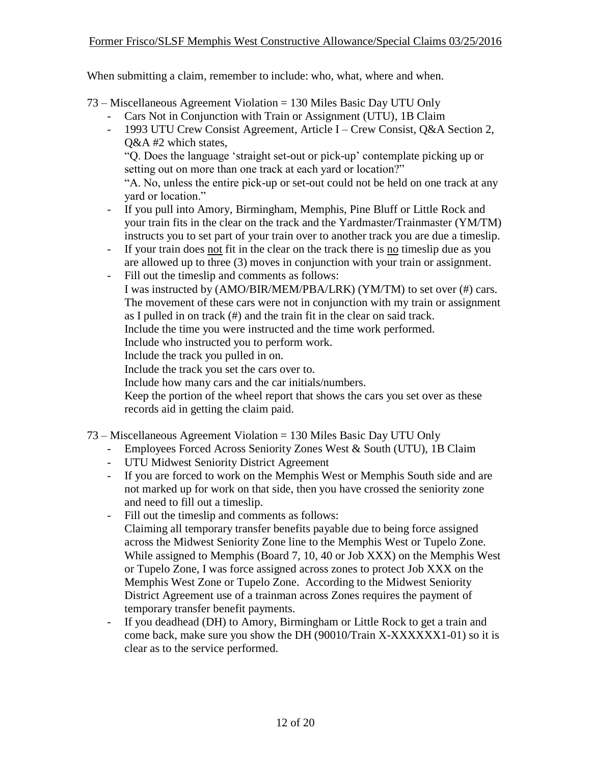73 – Miscellaneous Agreement Violation = 130 Miles Basic Day UTU Only

- Cars Not in Conjunction with Train or Assignment (UTU), 1B Claim
- 1993 UTU Crew Consist Agreement, Article I Crew Consist, Q&A Section 2, Q&A #2 which states,

"Q. Does the language 'straight set-out or pick-up' contemplate picking up or setting out on more than one track at each yard or location?"

"A. No, unless the entire pick-up or set-out could not be held on one track at any yard or location."

- If you pull into Amory, Birmingham, Memphis, Pine Bluff or Little Rock and your train fits in the clear on the track and the Yardmaster/Trainmaster (YM/TM) instructs you to set part of your train over to another track you are due a timeslip.
- If your train does not fit in the clear on the track there is no timeslip due as you are allowed up to three (3) moves in conjunction with your train or assignment.
- Fill out the timeslip and comments as follows: I was instructed by (AMO/BIR/MEM/PBA/LRK) (YM/TM) to set over (#) cars. The movement of these cars were not in conjunction with my train or assignment as I pulled in on track (#) and the train fit in the clear on said track. Include the time you were instructed and the time work performed. Include who instructed you to perform work. Include the track you pulled in on. Include the track you set the cars over to.

Include how many cars and the car initials/numbers.

Keep the portion of the wheel report that shows the cars you set over as these records aid in getting the claim paid.

- 73 Miscellaneous Agreement Violation = 130 Miles Basic Day UTU Only
	- Employees Forced Across Seniority Zones West & South (UTU), 1B Claim
	- UTU Midwest Seniority District Agreement
	- If you are forced to work on the Memphis West or Memphis South side and are not marked up for work on that side, then you have crossed the seniority zone and need to fill out a timeslip.
	- Fill out the timeslip and comments as follows: Claiming all temporary transfer benefits payable due to being force assigned across the Midwest Seniority Zone line to the Memphis West or Tupelo Zone. While assigned to Memphis (Board 7, 10, 40 or Job XXX) on the Memphis West or Tupelo Zone, I was force assigned across zones to protect Job XXX on the Memphis West Zone or Tupelo Zone. According to the Midwest Seniority District Agreement use of a trainman across Zones requires the payment of temporary transfer benefit payments.
	- If you deadhead (DH) to Amory, Birmingham or Little Rock to get a train and come back, make sure you show the DH (90010/Train X-XXXXXX1-01) so it is clear as to the service performed.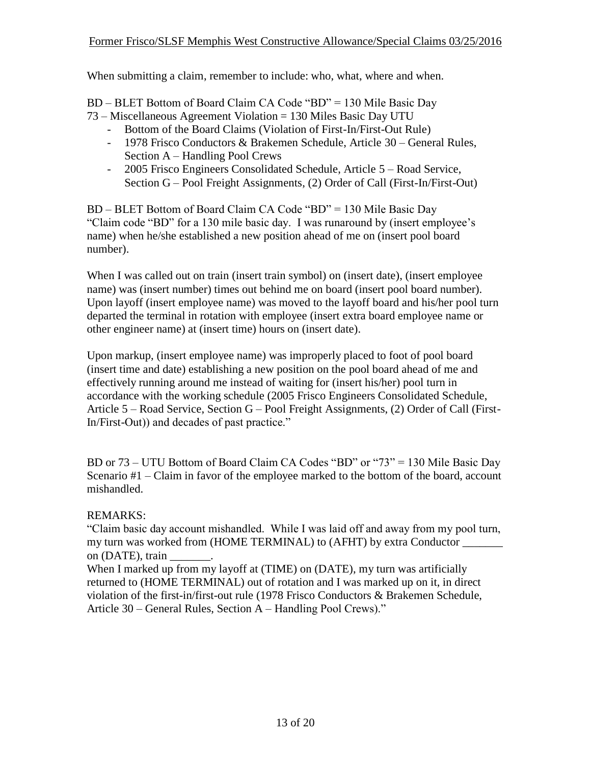BD – BLET Bottom of Board Claim CA Code "BD" = 130 Mile Basic Day

- 73 Miscellaneous Agreement Violation = 130 Miles Basic Day UTU
	- Bottom of the Board Claims (Violation of First-In/First-Out Rule)
	- 1978 Frisco Conductors & Brakemen Schedule, Article 30 General Rules, Section A – Handling Pool Crews
	- 2005 Frisco Engineers Consolidated Schedule, Article 5 Road Service, Section G – Pool Freight Assignments, (2) Order of Call (First-In/First-Out)

BD – BLET Bottom of Board Claim CA Code "BD" = 130 Mile Basic Day "Claim code "BD" for a 130 mile basic day. I was runaround by (insert employee's name) when he/she established a new position ahead of me on (insert pool board number).

When I was called out on train (insert train symbol) on (insert date), (insert employee name) was (insert number) times out behind me on board (insert pool board number). Upon layoff (insert employee name) was moved to the layoff board and his/her pool turn departed the terminal in rotation with employee (insert extra board employee name or other engineer name) at (insert time) hours on (insert date).

Upon markup, (insert employee name) was improperly placed to foot of pool board (insert time and date) establishing a new position on the pool board ahead of me and effectively running around me instead of waiting for (insert his/her) pool turn in accordance with the working schedule (2005 Frisco Engineers Consolidated Schedule, Article 5 – Road Service, Section G – Pool Freight Assignments, (2) Order of Call (First-In/First-Out)) and decades of past practice."

BD or 73 – UTU Bottom of Board Claim CA Codes "BD" or "73" = 130 Mile Basic Day Scenario #1 – Claim in favor of the employee marked to the bottom of the board, account mishandled.

#### REMARKS:

"Claim basic day account mishandled. While I was laid off and away from my pool turn, my turn was worked from (HOME TERMINAL) to (AFHT) by extra Conductor \_\_\_\_\_\_\_ on (DATE), train

When I marked up from my layoff at (TIME) on (DATE), my turn was artificially returned to (HOME TERMINAL) out of rotation and I was marked up on it, in direct violation of the first-in/first-out rule (1978 Frisco Conductors & Brakemen Schedule, Article 30 – General Rules, Section A – Handling Pool Crews)."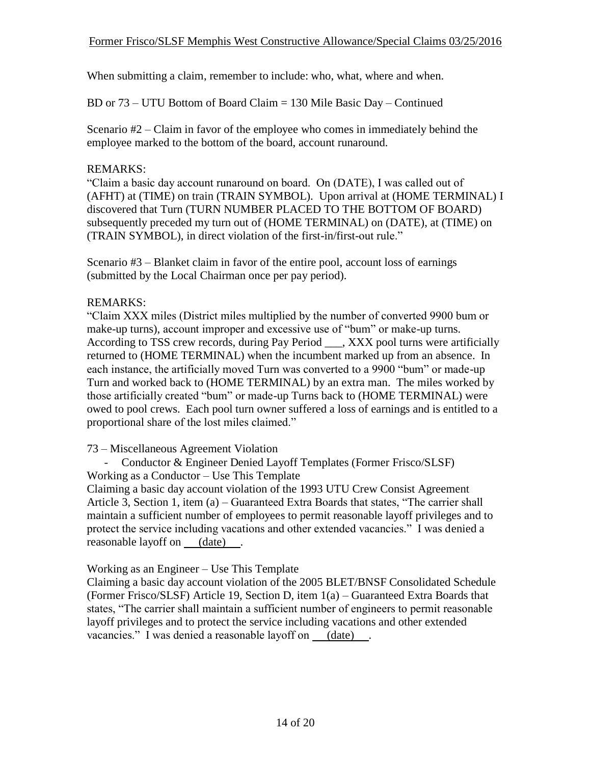BD or 73 – UTU Bottom of Board Claim = 130 Mile Basic Day – Continued

Scenario #2 – Claim in favor of the employee who comes in immediately behind the employee marked to the bottom of the board, account runaround.

#### REMARKS:

"Claim a basic day account runaround on board. On (DATE), I was called out of (AFHT) at (TIME) on train (TRAIN SYMBOL). Upon arrival at (HOME TERMINAL) I discovered that Turn (TURN NUMBER PLACED TO THE BOTTOM OF BOARD) subsequently preceded my turn out of (HOME TERMINAL) on (DATE), at (TIME) on (TRAIN SYMBOL), in direct violation of the first-in/first-out rule."

Scenario #3 – Blanket claim in favor of the entire pool, account loss of earnings (submitted by the Local Chairman once per pay period).

#### REMARKS:

"Claim XXX miles (District miles multiplied by the number of converted 9900 bum or make-up turns), account improper and excessive use of "bum" or make-up turns. According to TSS crew records, during Pay Period \_\_\_, XXX pool turns were artificially returned to (HOME TERMINAL) when the incumbent marked up from an absence. In each instance, the artificially moved Turn was converted to a 9900 "bum" or made-up Turn and worked back to (HOME TERMINAL) by an extra man. The miles worked by those artificially created "bum" or made-up Turns back to (HOME TERMINAL) were owed to pool crews. Each pool turn owner suffered a loss of earnings and is entitled to a proportional share of the lost miles claimed."

73 – Miscellaneous Agreement Violation

- Conductor & Engineer Denied Layoff Templates (Former Frisco/SLSF) Working as a Conductor – Use This Template Claiming a basic day account violation of the 1993 UTU Crew Consist Agreement

Article 3, Section 1, item (a) – Guaranteed Extra Boards that states, "The carrier shall maintain a sufficient number of employees to permit reasonable layoff privileges and to protect the service including vacations and other extended vacancies." I was denied a reasonable layoff on (date).

#### Working as an Engineer – Use This Template

Claiming a basic day account violation of the 2005 BLET/BNSF Consolidated Schedule (Former Frisco/SLSF) Article 19, Section D, item 1(a) – Guaranteed Extra Boards that states, "The carrier shall maintain a sufficient number of engineers to permit reasonable layoff privileges and to protect the service including vacations and other extended vacancies." I was denied a reasonable layoff on (date).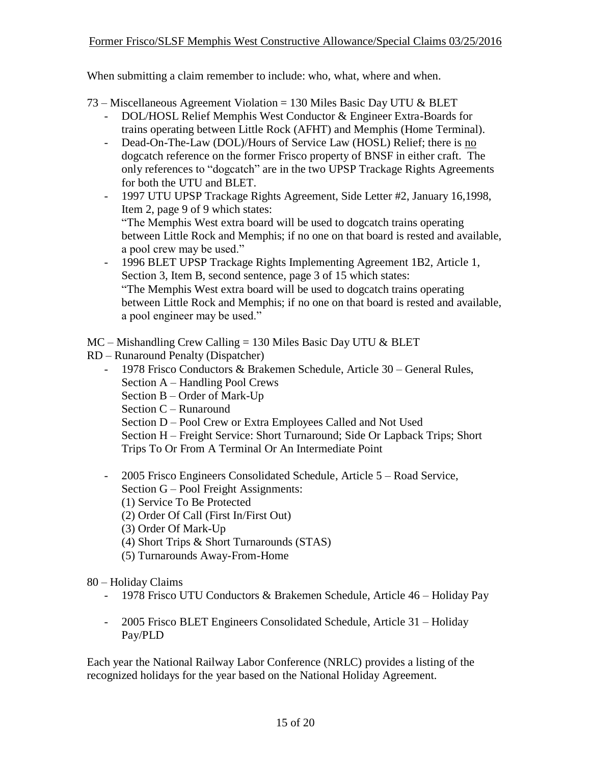$73 -$ Miscellaneous Agreement Violation = 130 Miles Basic Day UTU & BLET

- DOL/HOSL Relief Memphis West Conductor & Engineer Extra-Boards for trains operating between Little Rock (AFHT) and Memphis (Home Terminal).
- Dead-On-The-Law (DOL)/Hours of Service Law (HOSL) Relief; there is no dogcatch reference on the former Frisco property of BNSF in either craft. The only references to "dogcatch" are in the two UPSP Trackage Rights Agreements for both the UTU and BLET.
- 1997 UTU UPSP Trackage Rights Agreement, Side Letter #2, January 16,1998, Item 2, page 9 of 9 which states: "The Memphis West extra board will be used to dogcatch trains operating between Little Rock and Memphis; if no one on that board is rested and available, a pool crew may be used."
- 1996 BLET UPSP Trackage Rights Implementing Agreement 1B2, Article 1, Section 3, Item B, second sentence, page 3 of 15 which states: "The Memphis West extra board will be used to dogcatch trains operating between Little Rock and Memphis; if no one on that board is rested and available, a pool engineer may be used."

 $MC - Mishanding Crew Calling = 130 Miles Basic Day UTC & BLET$ 

- RD Runaround Penalty (Dispatcher)
	- 1978 Frisco Conductors & Brakemen Schedule, Article 30 General Rules, Section A – Handling Pool Crews Section B – Order of Mark-Up
		-
		- Section C Runaround
		- Section D Pool Crew or Extra Employees Called and Not Used

Section H – Freight Service: Short Turnaround; Side Or Lapback Trips; Short Trips To Or From A Terminal Or An Intermediate Point

- 2005 Frisco Engineers Consolidated Schedule, Article 5 Road Service, Section G – Pool Freight Assignments:
	- (1) Service To Be Protected
	- (2) Order Of Call (First In/First Out)
	- (3) Order Of Mark-Up
	- (4) Short Trips & Short Turnarounds (STAS)
	- (5) Turnarounds Away-From-Home

#### 80 – Holiday Claims

- 1978 Frisco UTU Conductors & Brakemen Schedule, Article 46 Holiday Pay
- 2005 Frisco BLET Engineers Consolidated Schedule, Article 31 Holiday Pay/PLD

Each year the National Railway Labor Conference (NRLC) provides a listing of the recognized holidays for the year based on the National Holiday Agreement.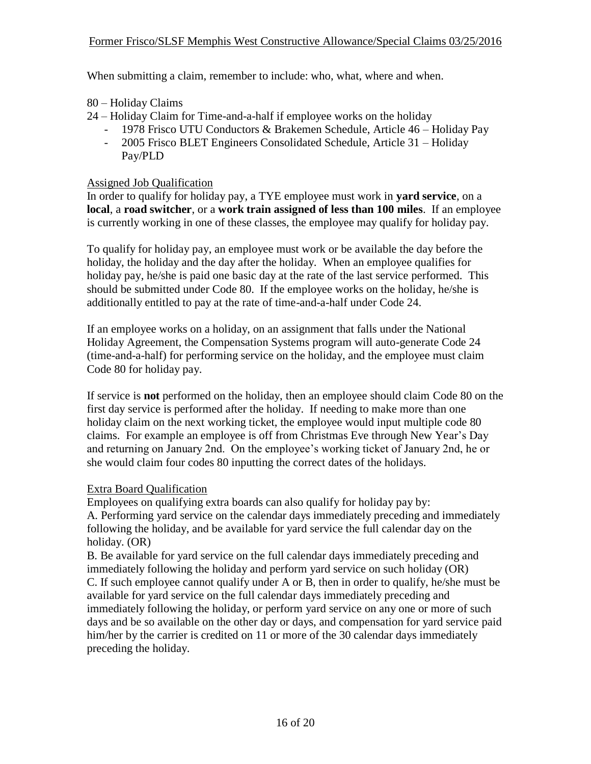- 80 Holiday Claims
- 24 Holiday Claim for Time-and-a-half if employee works on the holiday
	- 1978 Frisco UTU Conductors & Brakemen Schedule, Article 46 Holiday Pay
	- 2005 Frisco BLET Engineers Consolidated Schedule, Article 31 Holiday Pay/PLD

#### Assigned Job Qualification

In order to qualify for holiday pay, a TYE employee must work in **yard service**, on a **local**, a **road switcher**, or a **work train assigned of less than 100 miles**. If an employee is currently working in one of these classes, the employee may qualify for holiday pay.

To qualify for holiday pay, an employee must work or be available the day before the holiday, the holiday and the day after the holiday. When an employee qualifies for holiday pay, he/she is paid one basic day at the rate of the last service performed. This should be submitted under Code 80. If the employee works on the holiday, he/she is additionally entitled to pay at the rate of time-and-a-half under Code 24.

If an employee works on a holiday, on an assignment that falls under the National Holiday Agreement, the Compensation Systems program will auto-generate Code 24 (time-and-a-half) for performing service on the holiday, and the employee must claim Code 80 for holiday pay.

If service is **not** performed on the holiday, then an employee should claim Code 80 on the first day service is performed after the holiday. If needing to make more than one holiday claim on the next working ticket, the employee would input multiple code 80 claims. For example an employee is off from Christmas Eve through New Year's Day and returning on January 2nd. On the employee's working ticket of January 2nd, he or she would claim four codes 80 inputting the correct dates of the holidays.

### Extra Board Qualification

Employees on qualifying extra boards can also qualify for holiday pay by: A. Performing yard service on the calendar days immediately preceding and immediately following the holiday, and be available for yard service the full calendar day on the holiday. (OR)

B. Be available for yard service on the full calendar days immediately preceding and immediately following the holiday and perform yard service on such holiday (OR) C. If such employee cannot qualify under A or B, then in order to qualify, he/she must be available for yard service on the full calendar days immediately preceding and immediately following the holiday, or perform yard service on any one or more of such days and be so available on the other day or days, and compensation for yard service paid him/her by the carrier is credited on 11 or more of the 30 calendar days immediately preceding the holiday.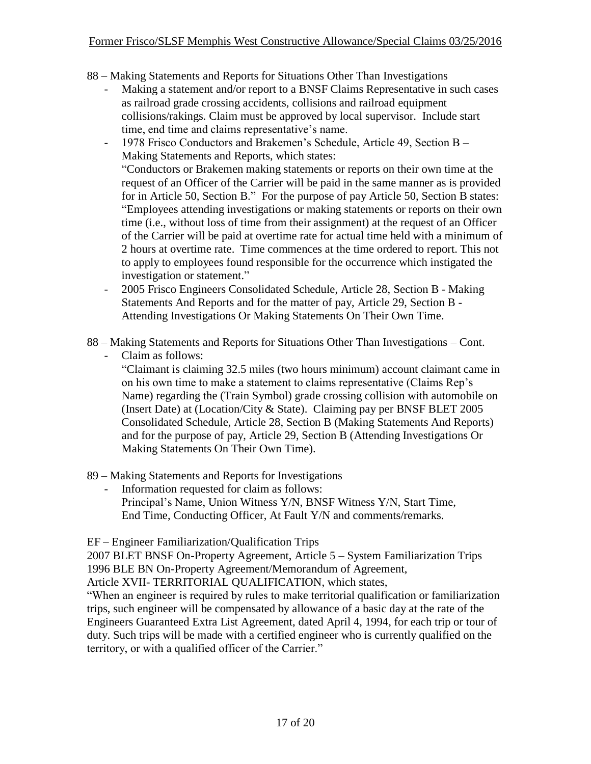- 88 Making Statements and Reports for Situations Other Than Investigations
	- Making a statement and/or report to a BNSF Claims Representative in such cases as railroad grade crossing accidents, collisions and railroad equipment collisions/rakings. Claim must be approved by local supervisor. Include start time, end time and claims representative's name.
	- 1978 Frisco Conductors and Brakemen's Schedule, Article 49, Section B Making Statements and Reports, which states: "Conductors or Brakemen making statements or reports on their own time at the request of an Officer of the Carrier will be paid in the same manner as is provided for in Article 50, Section B." For the purpose of pay Article 50, Section B states: "Employees attending investigations or making statements or reports on their own time (i.e., without loss of time from their assignment) at the request of an Officer of the Carrier will be paid at overtime rate for actual time held with a minimum of 2 hours at overtime rate. Time commences at the time ordered to report. This not to apply to employees found responsible for the occurrence which instigated the investigation or statement."
	- 2005 Frisco Engineers Consolidated Schedule, Article 28, Section B Making Statements And Reports and for the matter of pay, Article 29, Section B - Attending Investigations Or Making Statements On Their Own Time.
- 88 Making Statements and Reports for Situations Other Than Investigations Cont.

Claim as follows:

"Claimant is claiming 32.5 miles (two hours minimum) account claimant came in on his own time to make a statement to claims representative (Claims Rep's Name) regarding the (Train Symbol) grade crossing collision with automobile on (Insert Date) at (Location/City & State). Claiming pay per BNSF BLET 2005 Consolidated Schedule, Article 28, Section B (Making Statements And Reports) and for the purpose of pay, Article 29, Section B (Attending Investigations Or Making Statements On Their Own Time).

- 89 Making Statements and Reports for Investigations
	- Information requested for claim as follows: Principal's Name, Union Witness Y/N, BNSF Witness Y/N, Start Time, End Time, Conducting Officer, At Fault Y/N and comments/remarks.

EF – Engineer Familiarization/Qualification Trips

2007 BLET BNSF On-Property Agreement, Article 5 – System Familiarization Trips 1996 BLE BN On-Property Agreement/Memorandum of Agreement,

Article XVII- TERRITORIAL QUALIFICATION, which states,

"When an engineer is required by rules to make territorial qualification or familiarization trips, such engineer will be compensated by allowance of a basic day at the rate of the Engineers Guaranteed Extra List Agreement, dated April 4, 1994, for each trip or tour of duty. Such trips will be made with a certified engineer who is currently qualified on the territory, or with a qualified officer of the Carrier."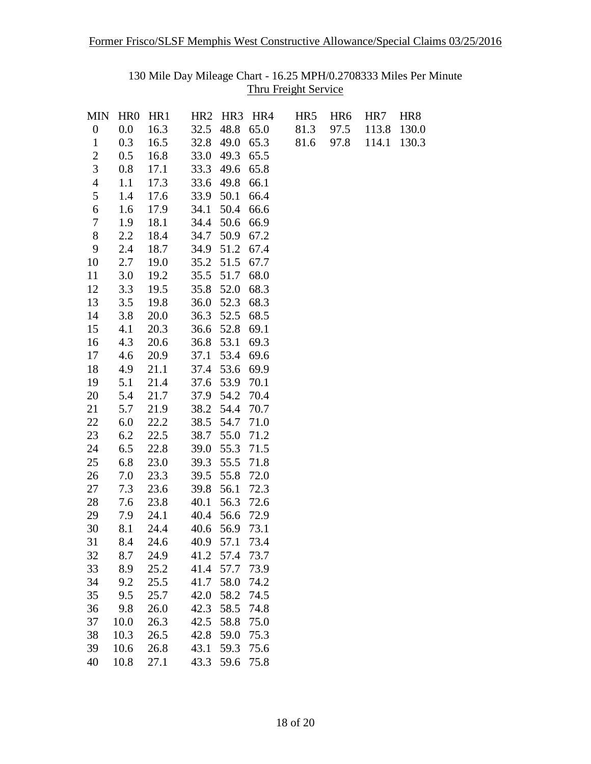130 Mile Day Mileage Chart - 16.25 MPH/0.2708333 Miles Per Minute Thru Freight Service

| <b>MIN</b>       | HR <sub>0</sub> | HR <sub>1</sub> | HR <sub>2</sub> | HR3 HR4 |      | HR5  | HR <sub>6</sub> | HR7   | HR8   |
|------------------|-----------------|-----------------|-----------------|---------|------|------|-----------------|-------|-------|
| $\boldsymbol{0}$ | 0.0             | 16.3            | 32.5            | 48.8    | 65.0 | 81.3 | 97.5            | 113.8 | 130.0 |
| $\mathbf{1}$     | 0.3             | 16.5            | 32.8            | 49.0    | 65.3 | 81.6 | 97.8            | 114.1 | 130.3 |
| $\overline{2}$   | 0.5             | 16.8            | 33.0            | 49.3    | 65.5 |      |                 |       |       |
| 3                | 0.8             | 17.1            | 33.3            | 49.6    | 65.8 |      |                 |       |       |
| $\overline{4}$   | 1.1             | 17.3            | 33.6            | 49.8    | 66.1 |      |                 |       |       |
| 5                | 1.4             | 17.6            | 33.9            | 50.1    | 66.4 |      |                 |       |       |
| 6                | 1.6             | 17.9            | 34.1            | 50.4    | 66.6 |      |                 |       |       |
| 7                | 1.9             | 18.1            | 34.4            | 50.6    | 66.9 |      |                 |       |       |
| $8\,$            | 2.2             | 18.4            | 34.7            | 50.9    | 67.2 |      |                 |       |       |
| 9                | 2.4             | 18.7            | 34.9            | 51.2    | 67.4 |      |                 |       |       |
| 10               | 2.7             | 19.0            | 35.2            | 51.5    | 67.7 |      |                 |       |       |
| 11               | 3.0             | 19.2            | 35.5            | 51.7    | 68.0 |      |                 |       |       |
| 12               | 3.3             | 19.5            | 35.8            | 52.0    | 68.3 |      |                 |       |       |
| 13               | 3.5             | 19.8            | 36.0            | 52.3    | 68.3 |      |                 |       |       |
| 14               | 3.8             | 20.0            | 36.3            | 52.5    | 68.5 |      |                 |       |       |
| 15               | 4.1             | 20.3            | 36.6            | 52.8    | 69.1 |      |                 |       |       |
| 16               | 4.3             | 20.6            | 36.8            | 53.1    | 69.3 |      |                 |       |       |
| 17               | 4.6             | 20.9            | 37.1            | 53.4    | 69.6 |      |                 |       |       |
| 18               | 4.9             | 21.1            | 37.4            | 53.6    | 69.9 |      |                 |       |       |
| 19               | 5.1             | 21.4            | 37.6            | 53.9    | 70.1 |      |                 |       |       |
| 20               | 5.4             | 21.7            | 37.9            | 54.2    | 70.4 |      |                 |       |       |
| 21               | 5.7             | 21.9            | 38.2            | 54.4    | 70.7 |      |                 |       |       |
| 22               | 6.0             | 22.2            | 38.5            | 54.7    | 71.0 |      |                 |       |       |
| 23               | 6.2             | 22.5            | 38.7            | 55.0    | 71.2 |      |                 |       |       |
| 24               | 6.5             | 22.8            | 39.0            | 55.3    | 71.5 |      |                 |       |       |
| 25               | 6.8             | 23.0            | 39.3            | 55.5    | 71.8 |      |                 |       |       |
| 26               | 7.0             | 23.3            | 39.5            | 55.8    | 72.0 |      |                 |       |       |
| 27               | 7.3             | 23.6            | 39.8            | 56.1    | 72.3 |      |                 |       |       |
| 28               | 7.6             | 23.8            | 40.1            | 56.3    | 72.6 |      |                 |       |       |
| 29               | 7.9             | 24.1            | 40.4            | 56.6    | 72.9 |      |                 |       |       |
| 30               | 8.1             | 24.4            | 40.6            | 56.9    | 73.1 |      |                 |       |       |
| 31               | 8.4             | 24.6            | 40.9            | 57.1    | 73.4 |      |                 |       |       |
| 32               | 8.7             | 24.9            | 41.2            | 57.4    | 73.7 |      |                 |       |       |
| 33               | 8.9             | 25.2            | 41.4            | 57.7    | 73.9 |      |                 |       |       |
| 34               | 9.2             | 25.5            | 41.7            | 58.0    | 74.2 |      |                 |       |       |
| 35               | 9.5             | 25.7            | 42.0            | 58.2    | 74.5 |      |                 |       |       |
| 36               | 9.8             | 26.0            | 42.3            | 58.5    | 74.8 |      |                 |       |       |
| 37               | 10.0            | 26.3            | 42.5            | 58.8    | 75.0 |      |                 |       |       |
| 38               | 10.3            | 26.5            | 42.8            | 59.0    | 75.3 |      |                 |       |       |
| 39               | 10.6            | 26.8            | 43.1            | 59.3    | 75.6 |      |                 |       |       |
| 40               | 10.8            | 27.1            | 43.3            | 59.6    | 75.8 |      |                 |       |       |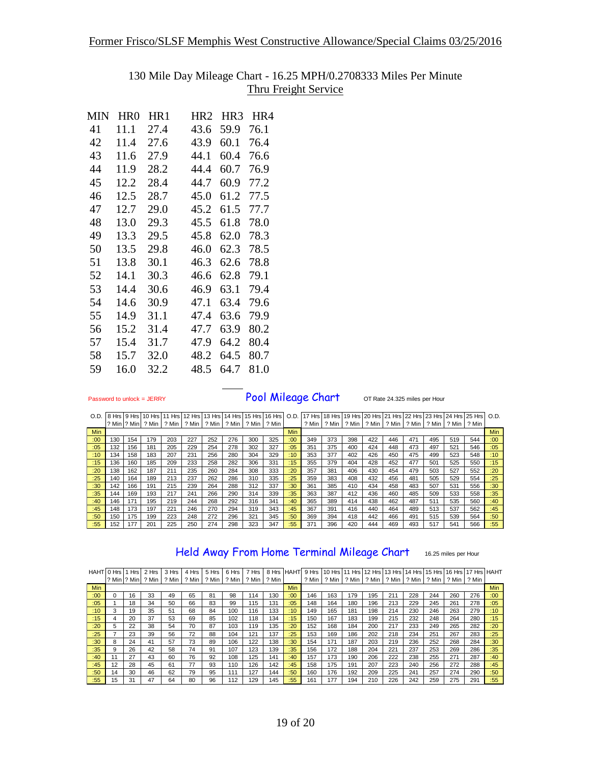#### 130 Mile Day Mileage Chart - 16.25 MPH/0.2708333 Miles Per Minute Thru Freight Service

| MIN | HR0  | HR1  | HR <sub>2</sub> | HR <sub>3</sub> | HR4  |
|-----|------|------|-----------------|-----------------|------|
| 41  | 11.1 | 27.4 | 43.6            | 59.9            | 76.1 |
| 42  | 11.4 | 27.6 | 43.9            | 60.1            | 76.4 |
| 43  | 11.6 | 27.9 | 44.1            | 60.4            | 76.6 |
| 44  | 11.9 | 28.2 | 44.4            | 60.7            | 76.9 |
| 45  | 12.2 | 28.4 | 44.7            | 60.9            | 77.2 |
| 46  | 12.5 | 28.7 | 45.0            | 61.2            | 77.5 |
| 47  | 12.7 | 29.0 | 45.2            | 61.5            | 77.7 |
| 48  | 13.0 | 29.3 | 45.5            | 61.8            | 78.0 |
| 49  | 13.3 | 29.5 | 45.8            | 62.0            | 78.3 |
| 50  | 13.5 | 29.8 | 46.0            | 62.3            | 78.5 |
| 51  | 13.8 | 30.1 | 46.3            | 62.6            | 78.8 |
| 52  | 14.1 | 30.3 | 46.6            | 62.8            | 79.1 |
| 53  | 14.4 | 30.6 | 46.9            | 63.1            | 79.4 |
| 54  | 14.6 | 30.9 | 47.1            | 63.4            | 79.6 |
| 55  | 14.9 | 31.1 | 47.4            | 63.6            | 79.9 |
| 56  | 15.2 | 31.4 | 47.7            | 63.9            | 80.2 |
| 57  | 15.4 | 31.7 | 47.9            | 64.2            | 80.4 |
| 58  | 15.7 | 32.0 | 48.2            | 64.5            | 80.7 |
| 59  | 16.0 | 32.2 | 48.5            | 64.7            | 81.0 |
|     |      |      |                 |                 |      |

Password to unlock = JERRY **Pool Mileage Chart** OT Rate 24.325 miles per Hour

| O.D        |     |     |                         |     | 18 Hrs 19 Hrs 110 Hrs 111 Hrs 112 Hrs 113 Hrs 114 Hrs 115 Hrs 116 Hrs 1 O.D. 117 Hrs 118 Hrs 129 Hrs 121 Hrs 122 Hrs 123 Hrs 124 Hrs 125 Hrs 126 Hrs 125 Hrs 125 Hrs 125 Hrs 125 Hrs 129 |                       |     |       |         |     |       |                                 |       |     |                     |     |     |             |      |            |
|------------|-----|-----|-------------------------|-----|------------------------------------------------------------------------------------------------------------------------------------------------------------------------------------------|-----------------------|-----|-------|---------|-----|-------|---------------------------------|-------|-----|---------------------|-----|-----|-------------|------|------------|
|            |     |     | Min ? Min 2 Min 2 Min I |     |                                                                                                                                                                                          | ? Min   ? Min   ? Min |     | ? Min | l ? Min |     | ? Min | $\frac{1}{2}$ Min $\frac{1}{2}$ | ? Min |     | ? Min ? Min   ? Min |     |     | ? Min ? Min | ?Min |            |
| <b>Min</b> |     |     |                         |     |                                                                                                                                                                                          |                       |     |       |         | Min |       |                                 |       |     |                     |     |     |             |      | <b>Min</b> |
| :00        | 130 | 154 | 179                     | 203 | 227                                                                                                                                                                                      | 252                   | 276 | 300   | 325     | :00 | 349   | 373                             | 398   | 422 | 446                 | 471 | 495 | 519         | 544  | :00        |
| :05        | 132 | 156 | 181                     | 205 | 229                                                                                                                                                                                      | 254                   | 278 | 302   | 327     | :05 | 351   | 375                             | 400   | 424 | 448                 | 473 | 497 | 521         | 546  | :05        |
| :10        | 134 | 158 | 183                     | 207 | 231                                                                                                                                                                                      | 256                   | 280 | 304   | 329     | :10 | 353   | 377                             | 402   | 426 | 450                 | 475 | 499 | 523         | 548  | :10        |
| :15        | 136 | 160 | 185                     | 209 | 233                                                                                                                                                                                      | 258                   | 282 | 306   | 331     | :15 | 355   | 379                             | 404   | 428 | 452                 | 477 | 501 | 525         | 550  | :15        |
| :20        | 138 | 162 | 187                     | 211 | 235                                                                                                                                                                                      | 260                   | 284 | 308   | 333     | :20 | 357   | 381                             | 406   | 430 | 454                 | 479 | 503 | 527         | 552  | :20        |
| :25        | 140 | 164 | 189                     | 213 | 237                                                                                                                                                                                      | 262                   | 286 | 310   | 335     | 25  | 359   | 383                             | 408   | 432 | 456                 | 481 | 505 | 529         | 554  | :25        |

<mark>:25</mark> | 140 | 164 | 189 | 213 | 237 | 262 | 286 | 310 | 335 | <mark>:25 |</mark> 359 | 383 | 408 | 432 | 456 | 481 | 505 | 529 | 554 <mark>| :25</mark> <mark>:30 |</mark> 142 | 166 | 191 | 215 | 239 | 264 | 288 | 312 | 337 **| :30 |** 361 | 385 | 410 | 434 | 458 | 483 | 507 | 531 | 556 <mark>| :30</mark> <mark>:35</mark> | 144 | 169 | 193 | 217 | 241 | 266 | 290 | 314 | 339 <mark>| :35 |</mark> 363 | 387 | 412 | 436 | 460 | 485 | 509 | 533 | 558 <mark>| :35</mark> <mark>:40 |</mark> 146 | 171 | 195 | 219 | 244 | 268 | 292 | 316 | 341 | <mark>:40 |</mark> 365 | 389 | 414 | 438 | 462 | 487 | 511 | 535 | 560 | :<mark>40</mark>

| :45 | 148 | 173 | 197 | 221 | 246 | 270 | 294 | 319 | 343 | :45 | 367 | 391 | 416 | 440 | 464 | 489 | 513 | 537 | 562 | :45 |
|-----|-----|-----|-----|-----|-----|-----|-----|-----|-----|-----|-----|-----|-----|-----|-----|-----|-----|-----|-----|-----|
| :50 | 150 | 175 | 199 | 223 | 248 | 272 | 296 | 321 | 345 | :50 | 369 | 394 | 418 | 442 | 466 | 491 | 515 | 539 | 564 | :50 |
| :55 | 152 | 177 | 201 | 225 | 250 | 274 | 298 | 323 | 347 | :55 | 371 | 396 | 420 | 444 | 469 | 493 | 517 | 541 | 566 | :55 |
|     |     |     |     |     |     |     |     |     |     |     |     |     |     |     |     |     |     |     |     |     |
|     |     |     |     |     |     |     |     |     |     |     |     |     |     |     |     |     |     |     |     |     |
|     |     |     |     |     |     |     |     |     |     |     |     |     |     |     |     |     |     |     |     |     |

Held Away From Home Terminal Mileage Chart 16.25 miles per Hour

|      | HAHT 0 Hrs   1 Hrs |    | 2 Hrs | 3 Hrs                          | 4 Hrs         | 5 Hrs | 6 Hrs         | 7 Hrs | 8 Hrs  |            | HAHT 9 Hrs |     |     | 10 Hrs 11 Hrs 12 Hrs 13 Hrs 14 Hrs 15 Hrs 16 Hrs 17 Hrs HAHT |     |     |     |     |      |            |
|------|--------------------|----|-------|--------------------------------|---------------|-------|---------------|-------|--------|------------|------------|-----|-----|--------------------------------------------------------------|-----|-----|-----|-----|------|------------|
|      |                    |    |       | ? Min 1? Min 1 ? Min 1 ? Min 1 | ?Min I ?Min I |       | ? Min 1 ? Min |       | ?Min I |            | ? Min I    |     |     | ? Min 1 ? Min 1 ? Min 1 ? Min 1 ? Min 1 ? Min 1 ? Min 1      |     |     |     |     | ?Min |            |
| Min  |                    |    |       |                                |               |       |               |       |        | <b>Min</b> |            |     |     |                                                              |     |     |     |     |      | <b>Min</b> |
| :00  | 0                  | 16 | 33    | 49                             | 65            | 81    | 98            | 114   | 130    | :00        | 146        | 163 | 179 | 195                                                          | 211 | 228 | 244 | 260 | 276  | :00        |
| :05  |                    | 18 | 34    | 50                             | 66            | 83    | 99            | 115   | 131    | :05        | 148        | 164 | 180 | 196                                                          | 213 | 229 | 245 | 261 | 278  | :05        |
| :10  | 3                  | 19 | 35    | 51                             | 68            | 84    | 100           | 116   | 133    | :10        | 149        | 165 | 181 | 198                                                          | 214 | 230 | 246 | 263 | 279  | :10        |
| :15  | 4                  | 20 | 37    | 53                             | 69            | 85    | 102           | 118   | 134    | :15        | 150        | 167 | 183 | 199                                                          | 215 | 232 | 248 | 264 | 280  | :15        |
| : 20 | 5                  | 22 | 38    | 54                             | 70            | 87    | 103           | 119   | 135    | :20        | 152        | 168 | 184 | 200                                                          | 217 | 233 | 249 | 265 | 282  | : 20       |
| :25  |                    | 23 | 39    | 56                             | 72            | 88    | 104           | 121   | 137    | :25        | 153        | 169 | 186 | 202                                                          | 218 | 234 | 251 | 267 | 283  | :25        |
| :30  | 8                  | 24 | 41    | 57                             | 73            | 89    | 106           | 122   | 138    | :30        | 154        | 171 | 187 | 203                                                          | 219 | 236 | 252 | 268 | 284  | :30        |
| :35  | 9                  | 26 | 42    | 58                             | 74            | 91    | 107           | 123   | 139    | :35        | 156        | 172 | 188 | 204                                                          | 221 | 237 | 253 | 269 | 286  | :35        |
| :40  | 11                 | 27 | 43    | 60                             | 76            | 92    | 108           | 125   | 141    | :40        | 157        | 173 | 190 | 206                                                          | 222 | 238 | 255 | 271 | 287  | :40        |
| :45  | 12                 | 28 | 45    | 61                             | 77            | 93    | 110           | 126   | 142    | :45        | 158        | 175 | 191 | 207                                                          | 223 | 240 | 256 | 272 | 288  | :45        |
| :50  | 14                 | 30 | 46    | 62                             | 79            | 95    | 111           | 127   | 144    | :50        | 160        | 176 | 192 | 209                                                          | 225 | 241 | 257 | 274 | 290  | :50        |
| :55  | 15                 | 31 | 47    | 64                             | 80            | 96    | 112           | 129   | 145    | :55        | 161        | 177 | 194 | 210                                                          | 226 | 242 | 259 | 275 | 291  | :55        |